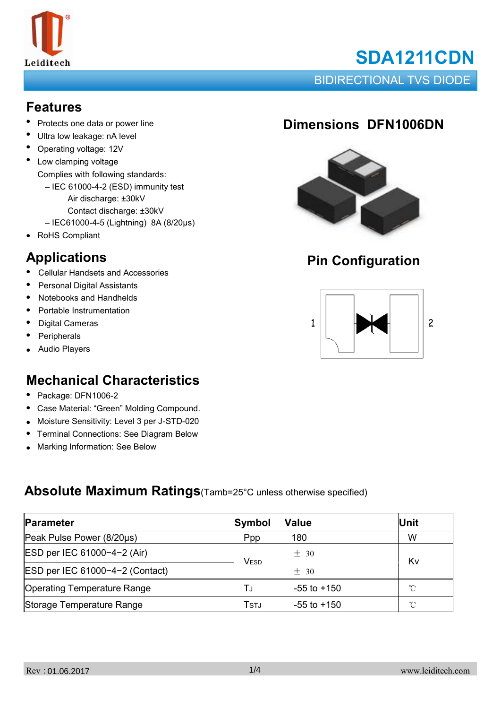

# **SDA1211CDN**

BIDIRECTIONAL TVS DIODE

### **Features**

- Protects one data or power line
- Ultra low leakage: nA level
- Operating voltage: 12V
- Low clamping voltage Complies with following standards:
	- IEC 61000-4-2 (ESD) immunity test
		- Air discharge: ±30kV
		- Contact discharge: ±30kV
	- IEC61000-4-5 (Lightning) 8A (8/20μs)
- RoHS Compliant

# **Applications**

- Cellular Handsets and Accessories
- Personal Digital Assistants
- $\bullet$ Notebooks and Handhelds
- Portable Instrumentation
- Digital Cameras
- **Peripherals**
- Audio Players

### **Mechanical Characteristics**

- Package: DFN1006-2
- Case Material: "Green" Molding Compound.
- Moisture Sensitivity: Level 3 per J-STD-020
- Terminal Connections: See Diagram Below
- Marking Information: See Below

### **Absolute Maximum Ratings**(Tamb=25°C unless otherwise specified)

| Parameter                          | Symbol | <b>Value</b>    | Unit         |
|------------------------------------|--------|-----------------|--------------|
| Peak Pulse Power (8/20µs)          | Ppp    | 180             | W            |
| ESD per IEC 61000-4-2 (Air)        | VESD   | $\pm$ 30        | Kv           |
| ESD per IEC 61000-4-2 (Contact)    |        | $+30$           |              |
| <b>Operating Temperature Range</b> | TJ     | $-55$ to $+150$ | $^{\circ}$ C |
| Storage Temperature Range          | Tstj   | $-55$ to $+150$ | °C           |

## **Dimensions DFN1006DN**



## **Pin Configuration**

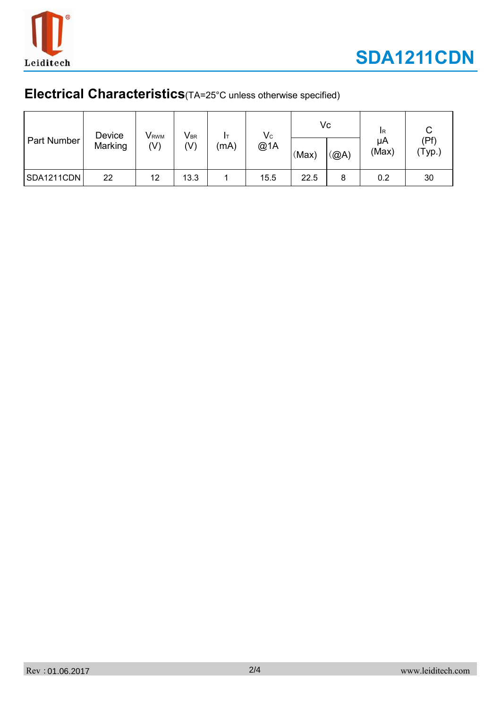

### **Electrical Characteristics**(TA=25°C unless otherwise specified)

| Part Number | Device<br>Marking | V <sub>RWM</sub><br>(V) | $V_{\text{BR}}$<br>(V) | (mA) | $V_c$<br>@1A | (Max) | Vc<br>(QA) | <b>IR</b><br>μA<br>(Max) | (Pf)<br>(Typ.) |
|-------------|-------------------|-------------------------|------------------------|------|--------------|-------|------------|--------------------------|----------------|
| SDA1211CDN  | 22                | 12                      | 13.3                   |      | 15.5         | 22.5  | 8          | 0.2                      | 30             |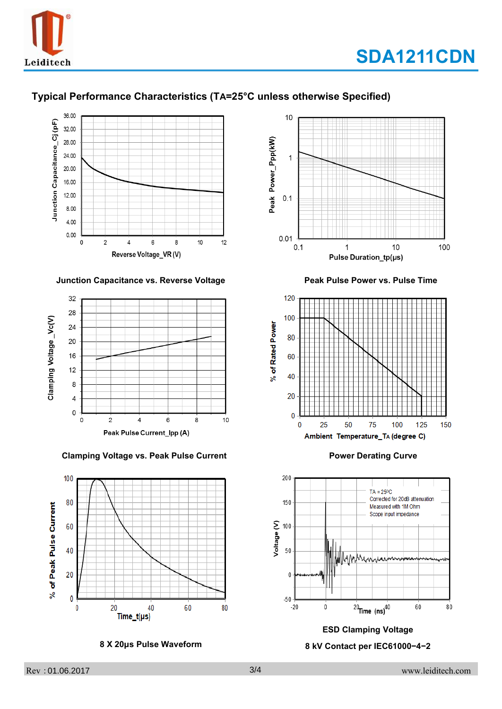

### **Typical Performance Characteristics (TA=25°C unless otherwise Specified)**



#### **Junction Capacitance vs. Reverse Voltage Peak Pulse Power vs. Pulse Time**



 **Clamping Voltage vs. Peak Pulse Current Power Derating Curve**



 **8 X 20μs Pulse Waveform**







#### **ESD Clamping Voltage**

#### **8 kV Contact per IEC61000−4−2**